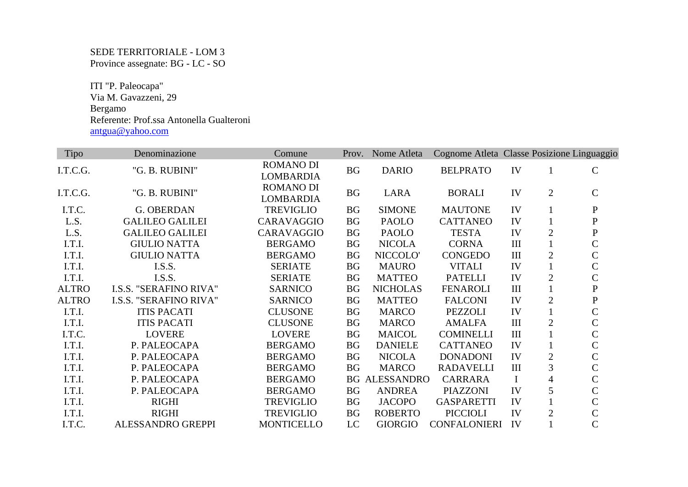SEDE TERRITORIALE - LOM 3 Province assegnate: BG - LC - SO

 ITI "P. Paleocapa" Via M. Gavazzeni, 29 Bergamo Referente: Prof.ssa Antonella Gualteroni antgua@yahoo.com

| Tipo         | Denominazione                 | Comune                               | Prov.     | Nome Atleta       | Cognome Atleta Classe Posizione Linguaggio |           |                |               |
|--------------|-------------------------------|--------------------------------------|-----------|-------------------|--------------------------------------------|-----------|----------------|---------------|
| I.T.C.G.     | "G. B. RUBINI"                | <b>ROMANO DI</b><br><b>LOMBARDIA</b> | BG        | <b>DARIO</b>      | <b>BELPRATO</b>                            | IV        | 1              | $\mathbf C$   |
| I.T.C.G.     | "G. B. RUBINI"                | <b>ROMANO DI</b><br><b>LOMBARDIA</b> | <b>BG</b> | <b>LARA</b>       | <b>BORALI</b>                              | IV        | $\overline{2}$ | $\mathcal{C}$ |
| I.T.C.       | <b>G. OBERDAN</b>             | <b>TREVIGLIO</b>                     | <b>BG</b> | <b>SIMONE</b>     | <b>MAUTONE</b>                             | IV        |                | $\mathbf{P}$  |
| L.S.         | <b>GALILEO GALILEI</b>        | CARAVAGGIO                           | <b>BG</b> | <b>PAOLO</b>      | <b>CATTANEO</b>                            | IV        |                | ${\bf P}$     |
| L.S.         | <b>GALILEO GALILEI</b>        | CARAVAGGIO                           | <b>BG</b> | <b>PAOLO</b>      | <b>TESTA</b>                               | IV        | $\overline{2}$ | ${\bf P}$     |
| I.T.I.       | <b>GIULIO NATTA</b>           | <b>BERGAMO</b>                       | <b>BG</b> | <b>NICOLA</b>     | <b>CORNA</b>                               | III       |                | $\mathcal{C}$ |
| I.T.I.       | <b>GIULIO NATTA</b>           | <b>BERGAMO</b>                       | <b>BG</b> | NICCOLO'          | <b>CONGEDO</b>                             | III       | $\overline{2}$ | $\mathsf{C}$  |
| I.T.I.       | I.S.S.                        | <b>SERIATE</b>                       | <b>BG</b> | <b>MAURO</b>      | <b>VITALI</b>                              | IV        |                | $\mathsf{C}$  |
| I.T.I.       | I.S.S.                        | <b>SERIATE</b>                       | <b>BG</b> | <b>MATTEO</b>     | <b>PATELLI</b>                             | IV        | $\overline{2}$ | $\mathsf{C}$  |
| <b>ALTRO</b> | <b>I.S.S. "SERAFINO RIVA"</b> | <b>SARNICO</b>                       | <b>BG</b> | <b>NICHOLAS</b>   | <b>FENAROLI</b>                            | III       |                | ${\bf P}$     |
| <b>ALTRO</b> | <b>I.S.S. "SERAFINO RIVA"</b> | <b>SARNICO</b>                       | <b>BG</b> | <b>MATTEO</b>     | <b>FALCONI</b>                             | IV        | $\overline{2}$ | ${\bf P}$     |
| I.T.I.       | <b>ITIS PACATI</b>            | <b>CLUSONE</b>                       | <b>BG</b> | <b>MARCO</b>      | <b>PEZZOLI</b>                             | IV        |                | $\mathsf{C}$  |
| I.T.I.       | <b>ITIS PACATI</b>            | <b>CLUSONE</b>                       | <b>BG</b> | <b>MARCO</b>      | <b>AMALFA</b>                              | $\rm III$ | $\overline{2}$ | $\mathcal{C}$ |
| I.T.C.       | <b>LOVERE</b>                 | <b>LOVERE</b>                        | <b>BG</b> | <b>MAICOL</b>     | <b>COMINELLI</b>                           | $\rm III$ |                | $\mathcal{C}$ |
| I.T.I.       | P. PALEOCAPA                  | <b>BERGAMO</b>                       | <b>BG</b> | <b>DANIELE</b>    | <b>CATTANEO</b>                            | IV        |                | $\mathcal{C}$ |
| I.T.I.       | P. PALEOCAPA                  | <b>BERGAMO</b>                       | <b>BG</b> | <b>NICOLA</b>     | <b>DONADONI</b>                            | IV        | $\overline{2}$ | $\mathsf{C}$  |
| I.T.I.       | P. PALEOCAPA                  | <b>BERGAMO</b>                       | <b>BG</b> | <b>MARCO</b>      | <b>RADAVELLI</b>                           | III       | 3              | $\mathcal{C}$ |
| I.T.I.       | P. PALEOCAPA                  | <b>BERGAMO</b>                       | <b>BG</b> | <b>ALESSANDRO</b> | <b>CARRARA</b>                             | $\bf{I}$  | 4              | $\mathcal{C}$ |
| I.T.I.       | P. PALEOCAPA                  | <b>BERGAMO</b>                       | <b>BG</b> | <b>ANDREA</b>     | <b>PIAZZONI</b>                            | IV        | 5              | $\mathcal{C}$ |
| I.T.I.       | <b>RIGHI</b>                  | <b>TREVIGLIO</b>                     | <b>BG</b> | <b>JACOPO</b>     | <b>GASPARETTI</b>                          | IV        |                | $\mathsf{C}$  |
| I.T.I.       | <b>RIGHI</b>                  | <b>TREVIGLIO</b>                     | <b>BG</b> | <b>ROBERTO</b>    | <b>PICCIOLI</b>                            | IV        | $\overline{2}$ | $\mathsf{C}$  |
| I.T.C.       | ALESSANDRO GREPPI             | <b>MONTICELLO</b>                    | LC        | <b>GIORGIO</b>    | <b>CONFALONIERI</b>                        | IV        |                | $\mathcal{C}$ |